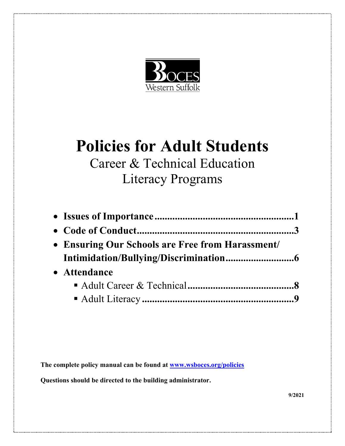

# **Policies for Adult Students**

# Career & Technical Education Literacy Programs

| • Ensuring Our Schools are Free from Harassment/ |  |
|--------------------------------------------------|--|
|                                                  |  |
| • Attendance                                     |  |
|                                                  |  |
|                                                  |  |

**The complete policy manual can be found at www.wsboces.org/policies**

**Questions should be directed to the building administrator.** 

**9/2021**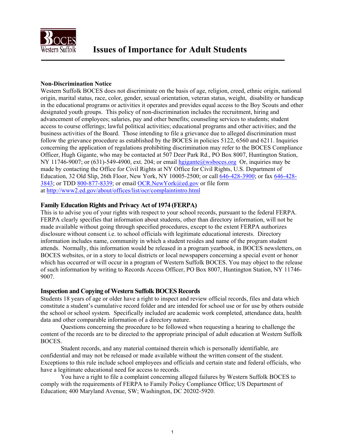

#### **Non-Discrimination Notice**

Western Suffolk BOCES does not discriminate on the basis of age, religion, creed, ethnic origin, national origin, marital status, race, color, gender, sexual orientation, veteran status, weight, disability or handicap in the educational programs or activities it operates and provides equal access to the Boy Scouts and other designated youth groups. This policy of non-discrimination includes the recruitment, hiring and advancement of employees; salaries, pay and other benefits; counseling services to students; student access to course offerings; lawful political activities; educational programs and other activities; and the business activities of the Board. Those intending to file a grievance due to alleged discrimination must follow the grievance procedure as established by the BOCES in policies 5122, 6560 and 6211. Inquiries concerning the application of regulations prohibiting discrimination may refer to the BOCES Compliance Officer, Hugh Gigante, who may be contacted at 507 [Deer Park Rd., PO Box 80](mailto:hgigante@wsboces.org)07, Huntington Station, NY 11746-9007; or  $(631)$ -549-4900, ext. 204; or email hgigante@wsboces.org Or, inquiries may be made by contacting the Office for Civil Rights at NY Office for Civil [Rights, U.S. Dep](mailto:646-428-3900)artment of [Educa](tel:646-428-3843)tion, 32 [Old Slip, 26th F](tel:800-877-8339)loor, N[ew York, NY 10005-2500;](mailto:OCR.NewYork@ed.gov) or call 646-428-3900; or fax [646-428-](tel:646-428-3843) 3[843; or TDD 800-877-8339; or email OCR.NewYork@ed.gov o](http://www2.ed.gov/about/offices/list/ocr/complaintintro.html)r file form at http://www2.ed.gov/about/offices/list/ocr/complaintintro.html

#### **Family Education Rights and Privacy Act of 1974 (FERPA)**

This is to advise you of your rights with respect to your school records, pursuant to the federal FERPA. FERPA clearly specifies that information about students, other than directory information, will not be made available without going through specified procedures, except to the extent FERPA authorizes disclosure without consent i.e. to school officials with legitimate educational interests. Directory information includes name, community in which a student resides and name of the program student attends. Normally, this information would be released in a program yearbook, in BOCES newsletters, on BOCES websites, or in a story to local districts or local newspapers concerning a special event or honor which has occurred or will occur in a program of Western Suffolk BOCES. You may object to the release of such information by writing to Records Access Officer, PO Box 8007, Huntington Station, NY 11746- 9007.

#### **Inspection and Copying of Western Suffolk BOCES Records**

Students 18 years of age or older have a right to inspect and review official records, files and data which constitute a student's cumulative record folder and are intended for school use or for use by others outside the school or school system. Specifically included are academic work completed, attendance data, health data and other comparable information of a directory nature.

 Questions concerning the procedure to be followed when requesting a hearing to challenge the content of the records are to be directed to the appropriate principal of adult education at Western Suffolk BOCES.

 Student records, and any material contained therein which is personally identifiable, are confidential and may not be released or made available without the written consent of the student. Exceptions to this rule include school employees and officials and certain state and federal officials, who have a legitimate educational need for access to records.

 You have a right to file a complaint concerning alleged failures by Western Suffolk BOCES to comply with the requirements of FERPA to Family Policy Compliance Office; US Department of Education; 400 Maryland Avenue, SW; Washington, DC 20202-5920.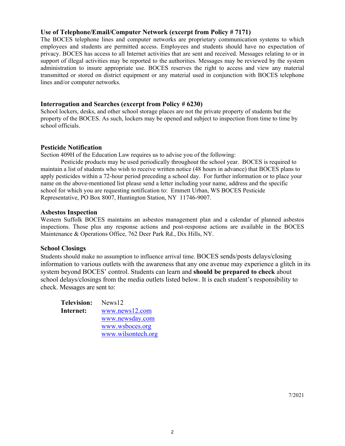#### **Use of Telephone/Email/Computer Network (excerpt from Policy # 7171)**

The BOCES telephone lines and computer networks are proprietary communication systems to which employees and students are permitted access. Employees and students should have no expectation of privacy. BOCES has access to all Internet activities that are sent and received. Messages relating to or in support of illegal activities may be reported to the authorities. Messages may be reviewed by the system administration to insure appropriate use. BOCES reserves the right to access and view any material transmitted or stored on district equipment or any material used in conjunction with BOCES telephone lines and/or computer networks.

#### **Interrogation and Searches (excerpt from Policy # 6230)**

School lockers, desks, and other school storage places are not the private property of students but the property of the BOCES. As such, lockers may be opened and subject to inspection from time to time by school officials.

#### **Pesticide Notification**

Section 409H of the Education Law requires us to advise you of the following:

 Pesticide products may be used periodically throughout the school year. BOCES is required to maintain a list of students who wish to receive written notice (48 hours in advance) that BOCES plans to apply pesticides within a 72-hour period preceding a school day. For further information or to place your name on the above-mentioned list please send a letter including your name, address and the specific school for which you are requesting notification to: Emmett Urban, WS BOCES Pesticide Representative, PO Box 8007, Huntington Station, NY 11746-9007.

#### **Asbestos Inspection**

Western Suffolk BOCES maintains an asbestos management plan and a calendar of planned asbestos inspections. Those plus any response actions and post-response actions are available in the BOCES Maintenance & Operations Office, 762 Deer Park Rd., Dix Hills, NY.

#### **School Closings**

Students should make no assumption to influence arrival time. BOCES sends/posts delays/closing information to various outlets with the awareness that any one avenue may experience a glitch in its system beyond BOCES' control. Students can learn and **should be prepared to check** about school delays/closings from the media outlets listed below. It is each student's responsibility to check. Messages are sent to:

| <b>Television:</b> | News12             |
|--------------------|--------------------|
| Internet:          | www.news12.com     |
|                    | www.newsday.com    |
|                    | www.wsboces.org    |
|                    | www.wilsontech.org |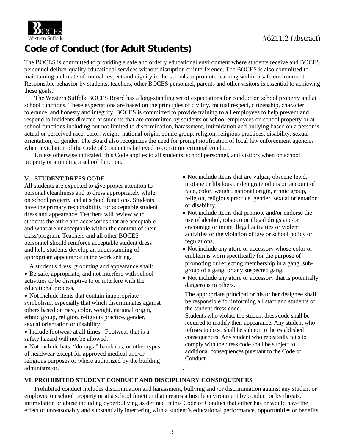

## **Code of Conduct (for Adult Students)**

The BOCES is committed to providing a safe and orderly educational environment where students receive and BOCES personnel deliver quality educational services without disruption or interference. The BOCES is also committed to maintaining a climate of mutual respect and dignity in the schools to promote learning within a safe environment. Responsible behavior by students, teachers, other BOCES personnel, parents and other visitors is essential to achieving these goals.

 The Western Suffolk BOCES Board has a long-standing set of expectations for conduct on school property and at school functions. These expectations are based on the principles of civility, mutual respect, citizenship, character, tolerance, and honesty and integrity. BOCES is committed to provide training to all employees to help prevent and respond to incidents directed at students that are committed by students or school employees on school property or at school functions including but not limited to discrimination, harassment, intimidation and bullying based on a person's actual or perceived race, color, weight, national origin, ethnic group, religion, religious practices, disability, sexual orientation, or gender. The Board also recognizes the need for prompt notification of local law enforcement agencies when a violation of the Code of Conduct is believed to constitute criminal conduct.

 Unless otherwise indicated, this Code applies to all students, school personnel, and visitors when on school property or attending a school function.

#### **V. STUDENT DRESS CODE**

All students are expected to give proper attention to personal cleanliness and to dress appropriately while on school property and at school functions. Students have the primary responsibility for acceptable student dress and appearance. Teachers will review with students the attire and accessories that are acceptable and what are unacceptable within the context of their class/program. Teachers and all other BOCES personnel should reinforce acceptable student dress and help students develop an understanding of appropriate appearance in the work setting.

A student's dress, grooming and appearance shall:

- Be safe, appropriate, and not interfere with school activities or be disruptive to or interfere with the educational process.
- Not include items that contain inappropriate symbolism, especially that which discriminates against others based on race, color, weight, national origin, ethnic group, religion, religious practice, gender, sexual orientation or disability.
- Include footwear at all times. Footwear that is a safety hazard will not be allowed.
- Not include hats, "do rags," bandanas, or other types of headwear except for approved medical and/or religious purposes or where authorized by the building administrator.
- Not include items that are vulgar, obscene lewd, profane or libelous or denigrate others on account of race, color, weight, national origin, ethnic group, religion, religious practice, gender, sexual orientation or disability.
- Not include items that promote and/or endorse the use of alcohol, tobacco or illegal drugs and/or encourage or incite illegal activities or violent activities or the violation of law or school policy or regulations.
- Not include any attire or accessory whose color or emblem is worn specifically for the purpose of promoting or reflecting membership in a gang, subgroup of a gang, or any suspected gang.
- Not include any attire or accessory that is potentially dangerous to others.

 The appropriate principal or his or her designee shall be responsible for informing all staff and students of the student dress code.

Students who violate the student dress code shall be required to modify their appearance. Any student who refuses to do so shall be subject to the established consequences. Any student who repeatedly fails to comply with the dress code shall be subject to additional consequences pursuant to the Code of Conduct.

#### **VI. PROHIBITED STUDENT CONDUCT AND DISCIPLINARY CONSEQUENCES**

Prohibited conduct includes discrimination and harassment, bullying and /or discrimination against any student or employee on school property or at a school function that creates a hostile environment by conduct or by threats, intimidation or abuse including cyberbullying as defined in this Code of Conduct that either has or would have the effect of unreasonably and substantially interfering with a student's educational performance, opportunities or benefits

.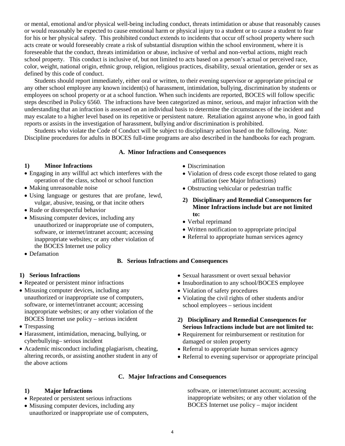or mental, emotional and/or physical well-being including conduct, threats intimidation or abuse that reasonably causes or would reasonably be expected to cause emotional harm or physical injury to a student or to cause a student to fear for his or her physical safety. This prohibited conduct extends to incidents that occur off school property where such acts create or would foreseeably create a risk of substantial disruption within the school environment, where it is foreseeable that the conduct, threats intimidation or abuse, inclusive of verbal and non-verbal actions, might reach school property. This conduct is inclusive of, but not limited to acts based on a person's actual or perceived race, color, weight, national origin, ethnic group, religion, religious practices, disability, sexual orientation, gender or sex as defined by this code of conduct.

 Students should report immediately, either oral or written, to their evening supervisor or appropriate principal or any other school employee any known incident(s) of harassment, intimidation, bullying, discrimination by students or employees on school property or at a school function. When such incidents are reported, BOCES will follow specific steps described in Policy 6560. The infractions have been categorized as minor, serious, and major infraction with the understanding that an infraction is assessed on an individual basis to determine the circumstances of the incident and may escalate to a higher level based on its repetitive or persistent nature. Retaliation against anyone who, in good faith reports or assists in the investigation of harassment, bullying and/or discrimination is prohibited.

 Students who violate the Code of Conduct will be subject to disciplinary action based on the following. Note: Discipline procedures for adults in BOCES full-time programs are also described in the handbooks for each program.

#### **A. Minor Infractions and Consequences**

#### **1) Minor Infractions**

- Engaging in any willful act which interferes with the operation of the class, school or school function
- Making unreasonable noise
- Using language or gestures that are profane, lewd, vulgar, abusive, teasing, or that incite others
- Rude or disrespectful behavior
- Misusing computer devices, including any unauthorized or inappropriate use of computers, software, or internet/intranet account; accessing inappropriate websites; or any other violation of the BOCES Internet use policy
- Defamation

#### **B. Serious Infractions and Consequences**

#### **1) Serious Infractions**

- Repeated or persistent minor infractions
- Misusing computer devices, including any unauthorized or inappropriate use of computers, software, or internet/intranet account; accessing inappropriate websites; or any other violation of the BOCES Internet use policy – serious incident
- Trespassing
- Harassment, intimidation, menacing, bullying, or cyberbullying– serious incident
- Academic misconduct including plagiarism, cheating, altering records, or assisting another student in any of the above actions

#### **1) Major Infractions**

- Repeated or persistent serious infractions
- Misusing computer devices, including any unauthorized or inappropriate use of computers,
- Discrimination
- Violation of dress code except those related to gang affiliation (see Major Infractions)
- Obstructing vehicular or pedestrian traffic
- **2) Disciplinary and Remedial Consequences for Minor Infractions include but are not limited to:**
- Verbal reprimand
- Written notification to appropriate principal
- Referral to appropriate human services agency
- - Sexual harassment or overt sexual behavior
	- Insubordination to any school/BOCES employee
	- Violation of safety procedures
	- Violating the civil rights of other students and/or school employees – serious incident
	- **2) Disciplinary and Remedial Consequences for Serious Infractions include but are not limited to:**
	- Requirement for reimbursement or restitution for damaged or stolen property
	- Referral to appropriate human services agency
	- Referral to evening supervisor or appropriate principal

#### **C. Major Infractions and Consequences**

software, or internet/intranet account; accessing inappropriate websites; or any other violation of the BOCES Internet use policy – major incident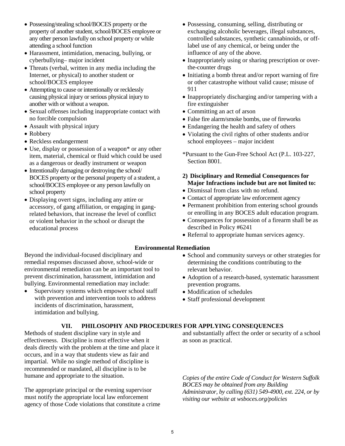- Possessing/stealing school/BOCES property or the property of another student, school/BOCES employee or any other person lawfully on school property or while attending a school function
- Harassment, intimidation, menacing, bullying, or cyberbullying– major incident
- Threats (verbal, written in any media including the Internet, or physical) to another student or school/BOCES employee
- Attempting to cause or intentionally or recklessly causing physical injury or serious physical injury to another with or without a weapon.
- Sexual offenses including inappropriate contact with no forcible compulsion
- Assault with physical injury
- Robbery
- Reckless endangerment
- Use, display or possession of a weapon<sup>\*</sup> or any other item, material, chemical or fluid which could be used as a dangerous or deadly instrument or weapon
- Intentionally damaging or destroying the school/ BOCES property or the personal property of a student, a school/BOCES employee or any person lawfully on school property
- Displaying overt signs, including any attire or accessory, of gang affiliation, or engaging in gangrelated behaviors, that increase the level of conflict or violent behavior in the school or disrupt the educational process
- Possessing, consuming, selling, distributing or exchanging alcoholic beverages, illegal substances, controlled substances, synthetic cannabinoids, or offlabel use of any chemical, or being under the influence of any of the above.
- Inappropriately using or sharing prescription or overthe-counter drugs
- Initiating a bomb threat and/or report warning of fire or other catastrophe without valid cause; misuse of 911
- Inappropriately discharging and/or tampering with a fire extinguisher
- Committing an act of arson
- False fire alarm/smoke bombs, use of fireworks
- Endangering the health and safety of others
- Violating the civil rights of other students and/or school employees – major incident
- \*Pursuant to the Gun-Free School Act (P.L. 103-227, Section 8001.

#### **2) Disciplinary and Remedial Consequences for Major Infractions include but are not limited to:**

- Dismissal from class with no refund.
- Contact of appropriate law enforcement agency
- Permanent prohibition from entering school grounds or enrolling in any BOCES adult education program.
- Consequences for possession of a firearm shall be as described in Policy #6241
- Referral to appropriate human services agency.

#### **Environmental Remediation**

Beyond the individual-focused disciplinary and remedial responses discussed above, school-wide or environmental remediation can be an important tool to prevent discrimination, harassment, intimidation and bullying. Environmental remediation may include:

- Supervisory systems which empower school staff with prevention and intervention tools to address incidents of discrimination, harassment, intimidation and bullying.
- School and community surveys or other strategies for determining the conditions contributing to the relevant behavior.
- Adoption of a research-based, systematic harassment prevention programs.
- Modification of schedules
- Staff professional development

#### **VII. PHILOSOPHY AND PROCEDURES FOR APPLYING CONSEQUENCES**

Methods of student discipline vary in style and effectiveness. Discipline is most effective when it deals directly with the problem at the time and place it occurs, and in a way that students view as fair and impartial. While no single method of discipline is recommended or mandated, all discipline is to be humane and appropriate to the situation.

The appropriate principal or the evening supervisor must notify the appropriate local law enforcement agency of those Code violations that constitute a crime and substantially affect the order or security of a school as soon as practical.

*Copies of the entire Code of Conduct for Western Suffolk BOCES may be obtained from any Building Administrator, by calling (631) 549-4900, ext. 224, or by visiting our website at wsboces.org/policies*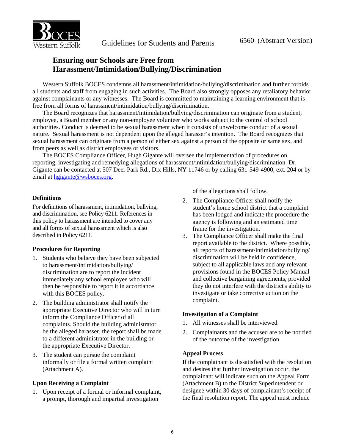

### **Ensuring our Schools are Free from Harassment/Intimidation/Bullying/Discrimination**

Western Suffolk BOCES condemns all harassment/intimidation/bullying/discrimination and further forbids all students and staff from engaging in such activities. The Board also strongly opposes any retaliatory behavior against complainants or any witnesses. The Board is committed to maintaining a learning environment that is free from all forms of harassment/intimidation/bullying/discrimination.

The Board recognizes that harassment/intimidation/bullying/discrimination can originate from a student, employee, a Board member or any non-employee volunteer who works subject to the control of school authorities. Conduct is deemed to be sexual harassment when it consists of unwelcome conduct of a sexual nature. Sexual harassment is not dependent upon the alleged harasser's intention. The Board recognizes that sexual harassment can originate from a person of either sex against a person of the opposite or same sex, and from peers as well as district employees or visitors.

The BOCES Compliance Officer, Hugh Gigante will oversee the implementation of procedures on reporting, investigating and remedying allegations of harassment/intimidation/bullying/discrimination. Dr. Gigante can be contacted at 507 Deer Park Rd., Dix Hills, NY 11746 or by calling 631-549-4900, ext. 204 or by email at hgigante@wsboces.org.

#### **Definitions**

For definitions of harassment, intimidation, bullying, and discrimination, see Policy 6211. References in this policy to harassment are intended to cover any and all forms of sexual harassment which is also described in Policy 6211.

#### **Procedures for Reporting**

- 1. Students who believe they have been subjected to harassment/intimidation/bullying/ discrimination are to report the incident immediately any school employee who will then be responsible to report it in accordance with this BOCES policy.
- 2. The building administrator shall notify the appropriate Executive Director who will in turn inform the Compliance Officer of all complaints. Should the building administrator be the alleged harasser, the report shall be made to a different administrator in the building or the appropriate Executive Director.
- 3. The student can pursue the complaint informally or file a formal written complaint (Attachment A).

#### **Upon Receiving a Complaint**

1. Upon receipt of a formal or informal complaint, a prompt, thorough and impartial investigation

of the allegations shall follow.

- 2. The Compliance Officer shall notify the student's home school district that a complaint has been lodged and indicate the procedure the agency is following and an estimated time frame for the investigation.
- 3. The Compliance Officer shall make the final report available to the district. Where possible, all reports of harassment/intimidation/bullying/ discrimination will be held in confidence, subject to all applicable laws and any relevant provisions found in the BOCES Policy Manual and collective bargaining agreements, provided they do not interfere with the district's ability to investigate or take corrective action on the complaint.

#### **Investigation of a Complaint**

- 1. All witnesses shall be interviewed.
- 2. Complainants and the accused are to be notified of the outcome of the investigation.

#### **Appeal Process**

If the complainant is dissatisfied with the resolution and desires that further investigation occur, the complainant will indicate such on the Appeal Form (Attachment B) to the District Superintendent or designee within 30 days of complainant's receipt of the final resolution report. The appeal must include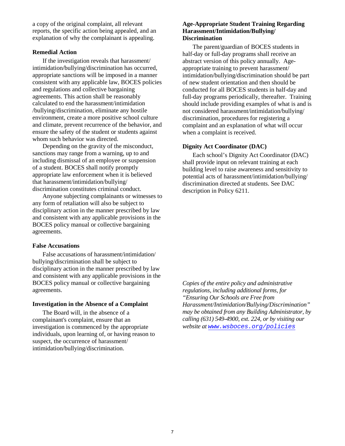a copy of the original complaint, all relevant reports, the specific action being appealed, and an explanation of why the complainant is appealing.

#### **Remedial Action**

If the investigation reveals that harassment/ intimidation/bullying/discrimination has occurred, appropriate sanctions will be imposed in a manner consistent with any applicable law, BOCES policies and regulations and collective bargaining agreements. This action shall be reasonably calculated to end the harassment/intimidation /bullying/discrimination, eliminate any hostile environment, create a more positive school culture and climate, prevent recurrence of the behavior, and ensure the safety of the student or students against whom such behavior was directed.

Depending on the gravity of the misconduct, sanctions may range from a warning, up to and including dismissal of an employee or suspension of a student. BOCES shall notify promptly appropriate law enforcement when it is believed that harassment/intimidation/bullying/ discrimination constitutes criminal conduct.

 Anyone subjecting complainants or witnesses to any form of retaliation will also be subject to disciplinary action in the manner prescribed by law and consistent with any applicable provisions in the BOCES policy manual or collective bargaining agreements.

#### **False Accusations**

False accusations of harassment/intimidation/ bullying/discrimination shall be subject to disciplinary action in the manner prescribed by law and consistent with any applicable provisions in the BOCES policy manual or collective bargaining agreements.

#### **Investigation in the Absence of a Complaint**

 The Board will, in the absence of a complainant's complaint, ensure that an investigation is commenced by the appropriate individuals, upon learning of, or having reason to suspect, the occurrence of harassment/ intimidation/bullying/discrimination.

#### **Age-Appropriate Student Training Regarding Harassment/Intimidation/Bullying/ Discrimination**

 The parent/guardian of BOCES students in half-day or full-day programs shall receive an abstract version of this policy annually. Ageappropriate training to prevent harassment/ intimidation/bullying/discrimination should be part of new student orientation and then should be conducted for all BOCES students in half-day and full-day programs periodically, thereafter. Training should include providing examples of what is and is not considered harassment/intimidation/bullying/ discrimination, procedures for registering a complaint and an explanation of what will occur when a complaint is received.

#### **Dignity Act Coordinator (DAC)**

 Each school's Dignity Act Coordinator (DAC) shall provide input on relevant training at each building level to raise awareness and sensitivity to potential acts of harassment/intimidation/bullying/ discrimination directed at students. See DAC description in Policy 6211.

*Copies of the entire policy and administrative regulations, including additional forms, for "Ensuring Our Schools are Free from Harassment/Intimidation/Bullying/Discrimination" may be obtained from any Building Administrator, by calling (631) 549-4900, ext. 224, or by visiting our website at www.wsboces.org/policies*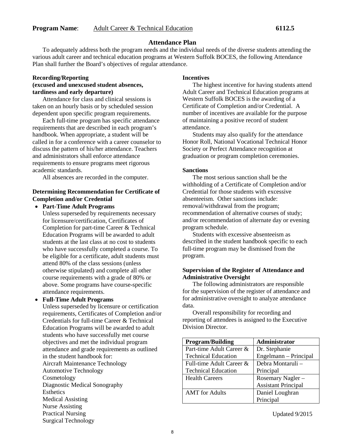#### **Attendance Plan**

To adequately address both the program needs and the individual needs of the diverse students attending the various adult career and technical education programs at Western Suffolk BOCES, the following Attendance Plan shall further the Board's objectives of regular attendance.

#### **Recording/Reporting (excused and unexcused student absences, tardiness and early departure)**

Attendance for class and clinical sessions is taken on an hourly basis or by scheduled session dependent upon specific program requirements.

 Each full-time program has specific attendance requirements that are described in each program's handbook. When appropriate, a student will be called in for a conference with a career counselor to discuss the pattern of his/her attendance. Teachers and administrators shall enforce attendance requirements to ensure programs meet rigorous academic standards.

All absences are recorded in the computer.

#### **Determining Recommendation for Certificate of Completion and/or Credential**

• **Part-Time Adult Programs**

 Unless superseded by requirements necessary for licensure/certification, Certificates of Completion for part-time Career & Technical Education Programs will be awarded to adult students at the last class at no cost to students who have successfully completed a course. To be eligible for a certificate, adult students must attend 80% of the class sessions (unless otherwise stipulated) and complete all other course requirements with a grade of 80% or above. Some programs have course-specific attendance requirements.

#### • **Full-Time Adult Programs**

 Unless superseded by licensure or certification requirements, Certificates of Completion and/or Credentials for full-time Career & Technical Education Programs will be awarded to adult students who have successfully met course objectives and met the individual program attendance and grade requirements as outlined in the student handbook for: Aircraft Maintenance Technology Automotive Technology Cosmetology Diagnostic Medical Sonography **Esthetics** Medical Assisting Nurse Assisting Practical Nursing Surgical Technology

#### **Incentives**

 The highest incentive for having students attend Adult Career and Technical Education programs at Western Suffolk BOCES is the awarding of a Certificate of Completion and/or Credential. A number of incentives are available for the purpose of maintaining a positive record of student attendance.

Students may also qualify for the attendance Honor Roll, National Vocational Technical Honor Society or Perfect Attendance recognition at graduation or program completion ceremonies.

#### **Sanctions**

 The most serious sanction shall be the withholding of a Certificate of Completion and/or Credential for those students with excessive absenteeism. Other sanctions include: removal/withdrawal from the program; recommendation of alternative courses of study; and/or recommendation of alternate day or evening program schedule.

Students with excessive absenteeism as described in the student handbook specific to each full-time program may be dismissed from the program.

#### **Supervision of the Register of Attendance and Administrative Oversight**

 The following administrators are responsible for the supervision of the register of attendance and for administrative oversight to analyze attendance data.

Overall responsibility for recording and reporting of attendees is assigned to the Executive Division Director.

| <b>Program/Building</b>    | Administrator              |
|----------------------------|----------------------------|
| Part-time Adult Career &   | Dr. Stephanie              |
| <b>Technical Education</b> | Engelmann - Principal      |
| Full-time Adult Career &   | Debra Montaruli –          |
| <b>Technical Education</b> | Principal                  |
| <b>Health Careers</b>      | Rosemary Nagler -          |
|                            | <b>Assistant Principal</b> |
| <b>AMT</b> for Adults      | Daniel Loughran            |
|                            | Principal                  |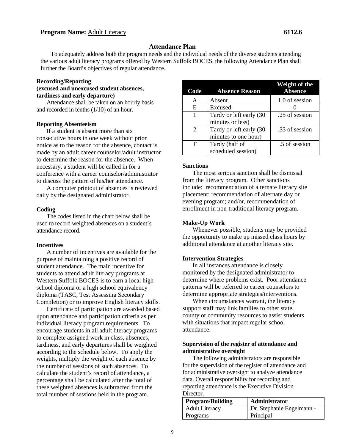#### **Attendance Plan**

To adequately address both the program needs and the individual needs of the diverse students attending the various adult literacy programs offered by Western Suffolk BOCES, the following Attendance Plan shall further the Board's objectives of regular attendance.

#### **Recording/Reporting (excused and unexcused student absences, tardiness and early departure)**

Attendance shall be taken on an hourly basis and recorded in tenths (1/10) of an hour.

#### **Reporting Absenteeism**

If a student is absent more than six consecutive hours in one week without prior notice as to the reason for the absence, contact is made by an adult career counselor/adult instructor to determine the reason for the absence. When necessary, a student will be called in for a conference with a career counselor/administrator to discuss the pattern of his/her attendance.

A computer printout of absences is reviewed daily by the designated administrator.

#### **Coding**

The codes listed in the chart below shall be used to record weighted absences on a student's attendance record.

#### **Incentives**

A number of incentives are available for the purpose of maintaining a positive record of student attendance. The main incentive for students to attend adult literacy programs at Western Suffolk BOCES is to earn a local high school diploma or a high school equivalency diploma (TASC, Test Assessing Secondary Completion) or to improve English literacy skills.

Certificate of participation are awarded based upon attendance and participation criteria as per individual literacy program requirements. To encourage students in all adult literacy programs to complete assigned work in class, absences, tardiness, and early departures shall be weighted according to the schedule below. To apply the weights, multiply the weight of each absence by the number of sessions of such absences. To calculate the student's record of attendance, a percentage shall be calculated after the total of these weighted absences is subtracted from the total number of sessions held in the program.

| Code                        | <b>Absence Reason</b>   | Weight of the<br><b>Absence</b> |
|-----------------------------|-------------------------|---------------------------------|
| A                           | Absent                  | 1.0 of session                  |
| E                           | Excused                 |                                 |
|                             | Tardy or left early (30 | .25 of session                  |
|                             | minutes or less)        |                                 |
| $\mathcal{D}_{\mathcal{L}}$ | Tardy or left early (30 | .33 of session                  |
|                             | minutes to one hour)    |                                 |
| т                           | Tardy (half of          | .5 of session                   |
|                             | scheduled session)      |                                 |

#### **Sanctions**

The most serious sanction shall be dismissal from the literacy program. Other sanctions include: recommendation of alternate literacy site placement; recommendation of alternate day or evening program; and/or, recommendation of enrollment in non-traditional literacy program.

#### **Make-Up Work**

 Whenever possible, students may be provided the opportunity to make up missed class hours by additional attendance at another literacy site.

#### **Intervention Strategies**

In all instances attendance is closely monitored by the designated administrator to determine where problems exist. Poor attendance patterns will be referred to career counselors to determine appropriate strategies/interventions.

When circumstances warrant, the literacy support staff may link families to other state, county or community resources to assist students with situations that impact regular school attendance.

#### **Supervision of the register of attendance and administrative oversight**

The following administrators are responsible for the supervision of the register of attendance and for administrative oversight to analyze attendance data. Overall responsibility for recording and reporting attendance is the Executive Division Director.

| <b>Program/Building</b> | Administrator             |
|-------------------------|---------------------------|
| <b>Adult Literacy</b>   | Dr. Stephanie Engelmann - |
| Programs                | Principal                 |